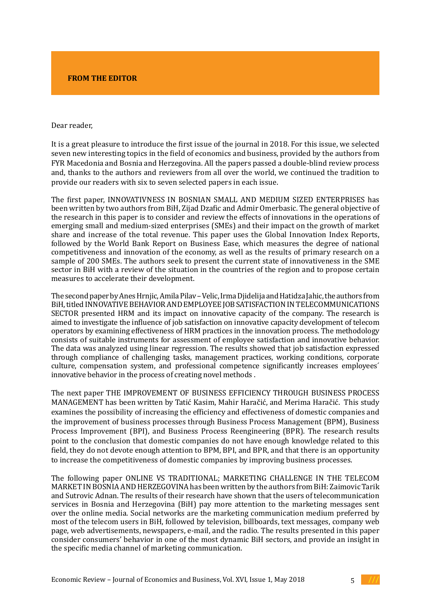## **FROM THE EDITOR**

## Dear reader,

It is a great pleasure to introduce the first issue of the journal in 2018. For this issue, we selected seven new interesting topics in the field of economics and business, provided by the authors from FYR Macedonia and Bosnia and Herzegovina. All the papers passed a double-blind review process and, thanks to the authors and reviewers from all over the world, we continued the tradition to provide our readers with six to seven selected papers in each issue.

The first paper, INNOVATIVNESS IN BOSNIAN SMALL AND MEDIUM SIZED ENTERPRISES has been written by two authors from BiH, Zijad Dzafic and Admir Omerbasic. The general objective of the research in this paper is to consider and review the effects of innovations in the operations of emerging small and medium-sized enterprises (SMEs) and their impact on the growth of market share and increase of the total revenue. This paper uses the Global Innovation Index Reports, followed by the World Bank Report on Business Ease, which measures the degree of national competitiveness and innovation of the economy, as well as the results of primary research on a sample of 200 SMEs. The authors seek to present the current state of innovativeness in the SME sector in BiH with a review of the situation in the countries of the region and to propose certain measures to accelerate their development.

The second paper by Anes Hrnjic, Amila Pilav – Velic, Irma Djidelija and Hatidza Jahic, the authors from BiH, titled INNOVATIVE BEHAVIOR AND EMPLOYEE JOB SATISFACTION IN TELECOMMUNICATIONS SECTOR presented HRM and its impact on innovative capacity of the company. The research is aimed to investigate the influence of job satisfaction on innovative capacity development of telecom operators by examining effectiveness of HRM practices in the innovation process. The methodology consists of suitable instruments for assessment of employee satisfaction and innovative behavior. The data was analyzed using linear regression. The results showed that job satisfaction expressed through compliance of challenging tasks, management practices, working conditions, corporate culture, compensation system, and professional competence significantly increases employees´ innovative behavior in the process of creating novel methods .

The next paper THE IMPROVEMENT OF BUSINESS EFFICIENCY THROUGH BUSINESS PROCESS MANAGEMENT has been written by Tatić Kasim, Mahir Haračić, and Merima Haračić. This study examines the possibility of increasing the efficiency and effectiveness of domestic companies and the improvement of business processes through Business Process Management (BPM), Business Process Improvement (BPI), and Business Process Reengineering (BPR). The research results point to the conclusion that domestic companies do not have enough knowledge related to this field, they do not devote enough attention to BPM, BPI, and BPR, and that there is an opportunity to increase the competitiveness of domestic companies by improving business processes.

The following paper ONLINE VS TRADITIONAL; MARKETING CHALLENGE IN THE TELECOM MARKET IN BOSNIA AND HERZEGOVINA has been written by the authors from BiH: Zaimovic Tarik and Sutrovic Adnan. The results of their research have shown that the users of telecommunication services in Bosnia and Herzegovina (BiH) pay more attention to the marketing messages sent over the online media. Social networks are the marketing communication medium preferred by most of the telecom users in BiH, followed by television, billboards, text messages, company web page, web advertisements, newspapers, e-mail, and the radio. The results presented in this paper consider consumers' behavior in one of the most dynamic BiH sectors, and provide an insight in the specific media channel of marketing communication.